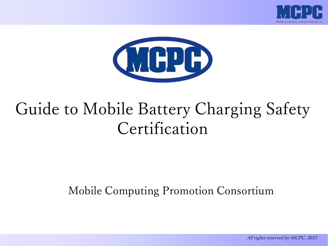



# Guide to Mobile Battery Charging Safety Certification

Mobile Computing Promotion Consortium

All rights reserved by MCPC, 2015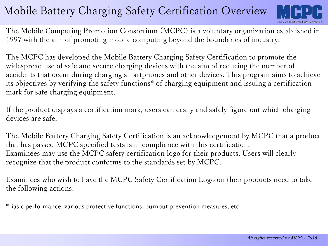# Mobile Battery Charging Safety Certification Overview



The Mobile Computing Promotion Consortium (MCPC) is a voluntary organization established in 1997 with the aim of promoting mobile computing beyond the boundaries of industry.

The MCPC has developed the Mobile Battery Charging Safety Certification to promote the widespread use of safe and secure charging devices with the aim of reducing the number of accidents that occur during charging smartphones and other devices. This program aims to achieve its objectives by verifying the safety functions\* of charging equipment and issuing a certification mark for safe charging equipment.

If the product displays a certification mark, users can easily and safely figure out which charging devices are safe.

The Mobile Battery Charging Safety Certification is an acknowledgement by MCPC that a product that has passed MCPC specified tests is in compliance with this certification. Examinees may use the MCPC safety certification logo for their products. Users will clearly recognize that the product conforms to the standards set by MCPC.

Examinees who wish to have the MCPC Safety Certification Logo on their products need to take the following actions.

\*Basic performance, various protective functions, burnout prevention measures, etc.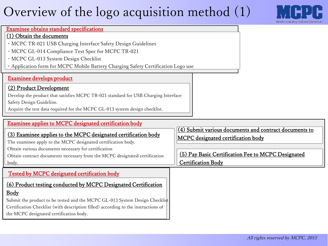# Overview of the logo acquisition method (1)



#### Examinee obtains standard specifications

#### (1) Obtain the documents

- ・MCPC TR-021 USB Charging Interface Safety Design Guidelines
- ・MCPC GL-014 Compliance Test Spec for MCPC TR-021
- ・MCPC GL-013 System Design Checklist
- ・Application form for MCPC Mobile Battery Charging Safety Certification Logo use

## Examinee develops product

## (2) Product Development

Develop the product that satisfies MCPC TR-021 standard for USB Charging Interface Safety Design Guideline.

Acquire the test data required for the MCPC GL-013 system design checklist.

#### (4) Submit various documents and contract documents to MCPC designated certification body Examinee applies to MCPC designated certification body (3) Examinee applies to the MCPC designated certification body The examinee apply to the MCPC designated certification body. Obtain various documents necessary for certification Obtain contract documents necessary from the MCPC designated certification body. (5) Pay Basic Certification Fee to MCPC Designated Certification Body (6) Product testing conducted by MCPC Designated Certification Body Tested by MCPC designated certification body

Submit the product to be tested and the MCPC GL-013 System Design Checklist Certification Checklist (with description filled) according to the instructions of the MCPC designated certification body.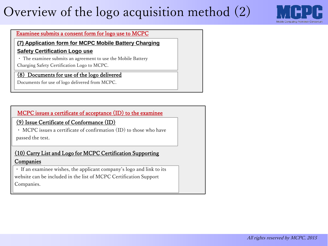# Overview of the logo acquisition method (2)



#### Examinee submits a consent form for logo use to MCPC

**(7) Application form for MCPC Mobile Battery Charging** 

#### **Safety Certification Logo use**

・ The examinee submits an agreement to use the Mobile Battery

Charging Safety Certification Logo to MCPC.

### (8) Documents for use of the logo delivered

Documents for use of logo delivered from MCPC.

### MCPC issues a certificate of acceptance (ID) to the examinee

(9) Issue Certificate of Conformance (ID)

・ MCPC issues a certificate of confirmation (ID) to those who have passed the test.

### (10) Carry List and Logo for MCPC Certification Supporting **Companies**

・ If an examinee wishes, the applicant company's logo and link to its website can be included in the list of MCPC Certification Support Companies.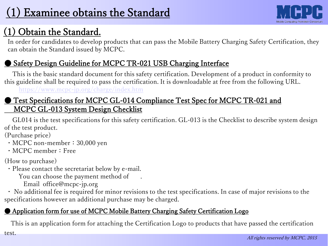# (1) Obtain the Standard.

In order for candidates to develop products that can pass the Mobile Battery Charging Safety Certification, they can obtain the Standard issued by MCPC.

## Safety Design Guideline for MCPC TR-021 USB Charging Interface

This is the basic standard document for this safety certification. Development of a product in conformity to this guideline shall be required to pass the certification. It is downloadable at free from the following URL.

<https://www.mcpc-jp.org/charge/index.htm>

## ● Test Specifications for MCPC GL-014 Compliance Test Spec for MCPC TR-021 and MCPC GL-013 System Design Checklist

GL014 is the test specifications for this safety certification. GL-013 is the Checklist to describe system design of the test product.

(Purchase price)

- MCPC non-member: 30,000 yen
- ・MCPC member:Free

(How to purchase)

・Please contact the secretariat below by e-mail.

You can choose the payment method of .

Email office@mcpc-jp.org

・ No additional fee is required for minor revisions to the test specifications. In case of major revisions to the specifications however an additional purchase may be charged.

## ● Application form for use of MCPC Mobile Battery Charging Safety Certification Logo

This is an application form for attaching the Certification Logo to products that have passed the certification test.

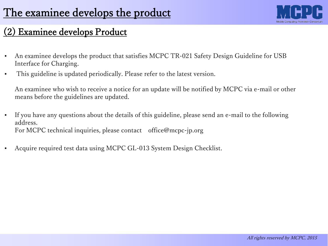

## Examinee develops Product

- An examinee develops the product that satisfies MCPC TR-021 Safety Design Guideline for USB Interface for Charging.
- This guideline is updated periodically. Please refer to the latest version.

An examinee who wish to receive a notice for an update will be notified by MCPC via e-mail or other means before the guidelines are updated.

- If you have any questions about the details of this guideline, please send an e-mail to the following address. For MCPC technical inquiries, please contact office@mcpc-jp.org
- Acquire required test data using MCPC GL-013 System Design Checklist.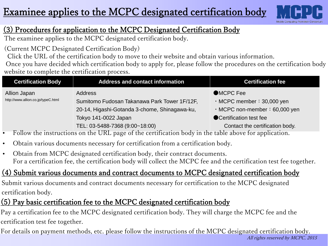# Examinee applies to the MCPC designated certification body



## (3) Procedures for application to the MCPC Designated Certification Body

The examinee applies to the MCPC designated certification body.

(Current MCPC Designated Certification Body)

Click the URL of the certification body to move to their website and obtain various information.

Once you have decided which certification body to apply for, please follow the procedures on the certification body website to complete the certification process.

| <b>Certification Body</b>          | <b>Address and contact information</b>        | <b>Certification fee</b>             |
|------------------------------------|-----------------------------------------------|--------------------------------------|
| Allion Japan                       | <b>Address</b>                                | ●MCPC Fee                            |
| http://www.allion.co.jp/typeC.html | Sumitomo Fudosan Takanawa Park Tower 1F/12F,  | $\cdot$ MCPC member : 30,000 yen     |
|                                    | 20-14, Higashi-Gotanda 3-chome, Shinagawa-ku, | $\cdot$ MCPC non-member : 60,000 yen |
|                                    | Tokyo 141-0022 Japan                          | ● Certification test fee             |
|                                    | TEL: 03-5488-7368 (9:00~18:00)                | Contact the certification body.      |

- Follow the instructions on the URL page of the certification body in the table above for application.
- Obtain various documents necessary for certification from a certification body.
- Obtain from MCPC designated certification body, their contract documents. For a certification fee, the certification body will collect the MCPC fee and the certification test fee together.

## (4) Submit various documents and contract documents to MCPC designated certification body

Submit various documents and contract documents necessary for certification to the MCPC designated certification body.

## (5) Pay basic certification fee to the MCPC designated certification body

Pay a certification fee to the MCPC designated certification body. They will charge the MCPC fee and the certification test fee together.

All rights reserved by MCPC, 2015 For details on payment methods, etc. please follow the instructions of the MCPC designated certification body.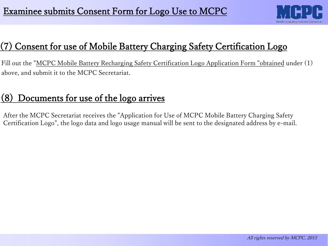

## Consent for use of Mobile Battery Charging Safety Certification Logo

Fill out the "MCPC Mobile Battery Recharging Safety Certification Logo Application Form "obtained under (1) above, and submit it to the MCPC Secretariat.

## (8) Documents for use of the logo arrives

After the MCPC Secretariat receives the "Application for Use of MCPC Mobile Battery Charging Safety Certification Logo", the logo data and logo usage manual will be sent to the designated address by e-mail.